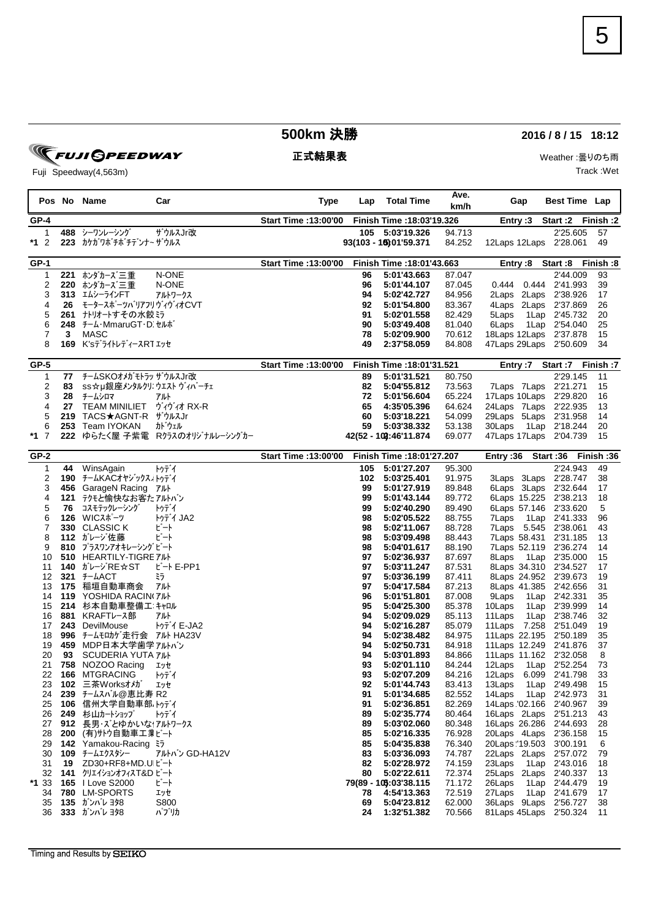## **500km** 決勝 **2016 / 8 / 15 18:12**

正式結果表 インディング Weather :曇りのち雨 Track :Wet

Fuji Speedway(4,563m)

**FUJI GPEEDWAY** 

|             |            | Pos No Name                                     | Car                             | Type                                             | Lap       | <b>Total Time</b>          | Ave.<br>km/h     | Gap                                              | <b>Best Time Lap</b>     |           |
|-------------|------------|-------------------------------------------------|---------------------------------|--------------------------------------------------|-----------|----------------------------|------------------|--------------------------------------------------|--------------------------|-----------|
| <b>GP-4</b> |            |                                                 |                                 | <b>Start Time : 13:00'00</b>                     |           | Finish Time : 18:03'19.326 |                  | Entry:3                                          | Start: 2 Finish: 2       |           |
| 1           |            | 488 シーワンレーシング                                   | ザウルスJr改                         |                                                  |           | 105 5:03'19.326            | 94.713           |                                                  | 2'25.605                 | 57        |
| *1 2        |            | 223 カケガワボチボチテンナ~ザウルス                            |                                 |                                                  |           | 93(103 - 16) 01'59.371     | 84.252           | 12Laps 12Laps 2'28.061                           |                          | 49        |
| <b>GP-1</b> |            |                                                 |                                 | <b>Start Time: 13:00'00</b>                      |           | Finish Time : 18:01'43.663 |                  |                                                  | Entry:8 Start:8 Finish:8 |           |
| 1           | 221        | ホンダカーズ三重                                        | N-ONE                           |                                                  | 96        | 5:01'43.663                | 87.047           |                                                  | 2'44.009                 | 93        |
| 2           | 220        | ホンダカーズ三重                                        | N-ONE                           |                                                  | 96        | 5:01'44.107                | 87.045           | 0.444   0.444                                    | 2'41.993                 | 39        |
| 3           |            | 313 エムシーラインFT                                   | アルトワークス                         |                                                  | 94        | 5:02'42.727                | 84.956           | 2Laps 2Laps                                      | 2'38.926                 | 17        |
| 4           | 26         | モータースポーツバリアフリウィヴィオCVT                           |                                 |                                                  | 92        | 5:01'54.800                | 83.367           | 4Laps 2Laps 2'37.869                             |                          | 26        |
| 5<br>6      | 261        | ナトリオートすその水餃ミラ                                   |                                 |                                                  | 91<br>90  | 5:02'01.558                | 82.429<br>81.040 | 5Laps<br>1 Lap                                   | 2'45.732                 | 20<br>25  |
| 7           | 3          | 248 チーム・MmaruGT・D. セルホ<br>MASC                  |                                 |                                                  | 78        | 5:03'49.408<br>5:02'09.900 | 70.612           | 6Laps<br>18 Laps 12 Laps 2'37.878                | 1Lap 2'54.040            | 15        |
| 8           |            | <b>169 K'sデライトレディースRTエッセ</b>                    |                                 |                                                  | 49        | 2:37'58.059                | 84.808           | 47Laps 29Laps 2'50.609                           |                          | 34        |
| $GP-5$      |            |                                                 |                                 | <b>Start Time : 13:00'00</b>                     |           | Finish Time : 18:01'31.521 | Entry :7         | Start :7                                         | Finish :7                |           |
| 1           | 77         | チームSKOオメガ モトラッ ザウルスJr改                          |                                 |                                                  | 89        | 5:01'31.521                | 80.750           |                                                  | 2'29.145                 | 11        |
| 2           | 83         | ss☆µ銀座メンタルクリニウエスト ヴィバーチェ                        |                                 |                                                  | 82        | 5:04'55.812                | 73.563           | 7Laps 7Laps 2'21.271                             |                          | 15        |
| 3           | 28         | チームシロマ                                          | アルト                             |                                                  | 72        | 5:01'56.604                | 65.224           | 17Laps 10Laps 2'29.820                           |                          | 16        |
| 4           | 27         | <b>TEAM MINILIET</b>                            | ヴィヴィオ RX-R                      |                                                  | 65        | 4:35'05.396                | 64.624           | 24 Laps 7 Laps 2'22.935                          |                          | 13        |
| 5           | 219        | TACS★AGNT-R ザウルスJr                              |                                 |                                                  | 60        | 5:03'18.221                | 54.099           | 29 Laps 5 Laps 2'31.958                          |                          | 14        |
| 6           | 253        | Team IYOKAN                                     | カドウェル                           |                                                  | 59        | 5:03'38.332                | 53.138           | 30Laps                                           | 1Lap 2'18.244            | 20        |
| $*1$ 7      |            |                                                 | 222 ゆらたく屋 子紫電 Rクラスのオリジナルレーシングカー |                                                  |           | 42(52 - 109:46'11.874      | 69.077           | 47 Laps 17 Laps 2'04.739                         |                          | 15        |
| $GP-2$      |            |                                                 |                                 | Start Time : 13:00'00 Finish Time : 18:01'27.207 |           |                            |                  | Entry: 36 Start: 36                              |                          | Finish:36 |
| 1           | 44         | WinsAgain                                       | トゥデイ                            |                                                  | 105       | 5:01'27.207                | 95.300           |                                                  | 2'24.943                 | 49        |
| 2<br>3      | 190        | チームKACオヤジックス、トゥデイ<br>456 GarageN Racing 7ルト     |                                 |                                                  | 102<br>99 | 5:03'25.401<br>5:01'27.919 | 91.975<br>89.848 | 3 Laps 3 Laps<br>6Laps 3Laps 2'32.644            | 2'28.747                 | 38<br>17  |
| 4           | 121        | テクモと愉快なお客たアルトバン                                 |                                 |                                                  | 99        | 5:01'43.144                | 89.772           | 6Laps 15.225                                     | 2'38.213                 | 18        |
| 5           | 76         | コスモテックレーシング                                     | トゥデイ                            |                                                  | 99        | 5:02'40.290                | 89.490           | 6Laps 57.146 2'33.620                            |                          | 5         |
| 6           | 126        | WICスポーツ                                         | トゥデイ JA2                        |                                                  | 98        | 5:02'05.522                | 88.755           | 7Laps<br>1Lap                                    | 2'41.333                 | 96        |
| 7           |            | 330 CLASSICK                                    | ビート                             |                                                  | 98        | 5:02'11.067                | 88.728           | 7Laps 5.545 2'38.061                             |                          | 43        |
| 8           |            | 112 ガレージ佐藤                                      | ビート                             |                                                  | 98        | 5:03'09.498                | 88.443           | 7Laps 58.431                                     | 2'31.185                 | 13        |
| 9<br>10     | 810<br>510 | プラスワンアオキレーシング ビート<br><b>HEARTILY-TIGRE 7ILM</b> |                                 |                                                  | 98<br>97  | 5:04'01.617                | 88.190           | 7Laps 52.119 2'36.274                            |                          | 14<br>15  |
| 11          |            | 140 ガレージRE☆ST                                   | ビート E-PP1                       |                                                  | 97        | 5:02'36.937<br>5:03'11.247 | 87.697<br>87.531 | 8Laps<br>1Lap<br>8Laps 34.310 2'34.527           | 2'35.000                 | 17        |
| 12          | 321        | <b>F-LACT</b>                                   | ミラ                              |                                                  | 97        | 5:03'36.199                | 87.411           | 8Laps 24.952 2'39.673                            |                          | 19        |
| 13          | 175        | 稲垣自動車商会                                         | アルト                             |                                                  | 97        | 5:04'17.584                | 87.213           | 8Laps 41.385 2'42.656                            |                          | 31        |
| 14          | 119        | YOSHIDA RACIN(7ル                                |                                 |                                                  | 96        | 5:01'51.801                | 87.008           | 9Laps                                            | 1Lap 2'42.331            | 35        |
| 15          |            | 214 杉本自動車整備工 キャロル                               |                                 |                                                  | 95        | 5:04'25.300                | 85.378           | 10Laps                                           | 1Lap 2'39.999            | 14        |
| 16          |            | 881 KRAFTレース部                                   | アルト                             |                                                  | 94        | 5:02'09.029                | 85.113           | 11 Laps                                          | 1Lap 2'38.746            | 32        |
| 17          | 243        | DevilMouse                                      | トゥデイ E-JA2                      |                                                  | 94        | 5:02'16.287                | 85.079           | 11Laps 7.258 2'51.049                            |                          | 19        |
| 18<br>19    | 996<br>459 | チームモロカゲ走行会 アルト HA23V<br>MDP日本大学歯学アルトバン          |                                 |                                                  | 94<br>94  | 5:02'38.482<br>5:02'50.731 | 84.975<br>84.918 | 11Laps 22.195 2'50.189<br>11Laps 12.249 2'41.876 |                          | 35<br>37  |
| 20          | 93         | <b>SCUDERIA YUTA 7ILM</b>                       |                                 |                                                  | 94        | 5:03'01.893                | 84.866           | 11Laps 11.162 2'32.058                           |                          | 8         |
| 21          | 758        | NOZOO Racing                                    | エッセ                             |                                                  | 93        | 5:02'01.110                | 84.244           | 12Laps                                           | 1Lap 2'52.254            | 73        |
| 22          |            | 166 MTGRACING                                   | トゥデイ                            |                                                  | 93        | 5:02'07.209                | 84.216           | 12Laps 6.099 2'41.798                            |                          | 33        |
| 23          |            | 102 三茶Worksオメガ                                  | エッセ                             |                                                  | 92        | 5:01'44.743                | 83.413           | 13Laps                                           | 1Lap 2'49.498            | 15        |
| 24          |            | 239 チームスバル@恵比寿 R2                               |                                 |                                                  | 91        | 5:01'34.685                | 82.552           | 14Laps                                           | 1Lap 2'42.973            | 31        |
| 25          |            | 106 信州大学自動車部 トゥデイ                               |                                 |                                                  | 91        | 5:02'36.851                | 82.269           | 14Laps '02.166 2'40.967                          |                          | 39        |
| 26          |            | 249 杉山カートショップ                                   | トゥデイ                            |                                                  | 89        | 5:02'35.774                | 80.464           | 16Laps 2Laps 2'51.213                            |                          | 43        |
| 27<br>28    |            | 912 長男・ズとゆかいなイアルトワークス<br>200 (有)サトウ自動車工業ビート     |                                 |                                                  | 89<br>85  | 5:03'02.060<br>5:02'16.335 | 80.348<br>76.928 | 16Laps 26.286 2'44.693<br>20Laps 4Laps 2'36.158  |                          | 28<br>15  |
| 29          |            | 142 Yamakou-Racing 37                           |                                 |                                                  | 85        | 5:04'35.838                | 76.340           | 20Laps '19.503 3'00.191                          |                          | 6         |
| 30          |            | 109 チームエクスタシー                                   | アルトバン GD-HA12V                  |                                                  | 83        | 5:03'36.093                | 74.787           | 22Laps 2Laps 2'57.072                            |                          | 79        |
| 31          |            | 19 ZD30+RF8+MD.UIt'-                            |                                 |                                                  | 82        | 5:02'28.972                | 74.159           | 23Laps                                           | 1Lap 2'43.016            | 18        |
| 32          |            | 141 クリェイションオフィスT&D ビート                          |                                 |                                                  | 80        | 5:02'22.611                | 72.374           | 25Laps 2Laps 2'40.337                            |                          | 13        |
| $*133$      |            | 165   Love S2000                                | ビート                             |                                                  |           | 79(89 - 105:03'38.115      | 71.172           | 26Laps                                           | 1Lap 2'44.479            | 19        |
| 34          |            | 780 LM-SPORTS                                   | エッセ                             |                                                  | 78        | 4:54'13.363                | 72.519           | 27Laps                                           | 1Lap 2'41.679            | 17        |
| 35          |            | 135 ガンバレ ヨタ8                                    | S800                            |                                                  | 69        | 5:04'23.812                | 62.000           | 36 Laps 9 Laps 2'56.727                          |                          | 38        |
| 36          |            | 333 ガンバレ ヨタ8                                    | パブリカ                            |                                                  | 24        | 1:32'51.382                | 70.566           | 81 Laps 45 Laps 2'50.324                         |                          | 11        |

#